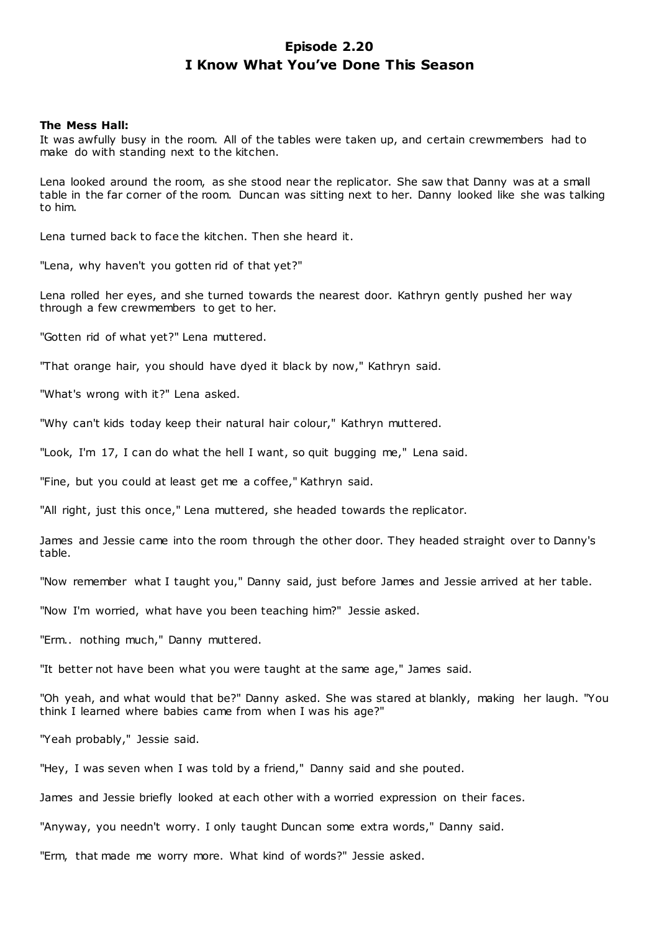# **Episode 2.20 I Know What You've Done This Season**

### **The Mess Hall:**

It was awfully busy in the room. All of the tables were taken up, and certain crewmembers had to make do with standing next to the kitchen.

Lena looked around the room, as she stood near the replicator. She saw that Danny was at a small table in the far corner of the room. Duncan was sitting next to her. Danny looked like she was talking to him.

Lena turned back to face the kitchen. Then she heard it.

"Lena, why haven't you gotten rid of that yet?"

Lena rolled her eyes, and she turned towards the nearest door. Kathryn gently pushed her way through a few crewmembers to get to her.

"Gotten rid of what yet?" Lena muttered.

"That orange hair, you should have dyed it black by now," Kathryn said.

"What's wrong with it?" Lena asked.

"Why can't kids today keep their natural hair colour," Kathryn muttered.

"Look, I'm 17, I can do what the hell I want, so quit bugging me," Lena said.

"Fine, but you could at least get me a coffee," Kathryn said.

"All right, just this once," Lena muttered, she headed towards the replicator.

James and Jessie came into the room through the other door. They headed straight over to Danny's table.

"Now remember what I taught you," Danny said, just before James and Jessie arrived at her table.

"Now I'm worried, what have you been teaching him?" Jessie asked.

"Erm.. nothing much," Danny muttered.

"It better not have been what you were taught at the same age," James said.

"Oh yeah, and what would that be?" Danny asked. She was stared at blankly, making her laugh. "You think I learned where babies came from when I was his age?"

"Yeah probably," Jessie said.

"Hey, I was seven when I was told by a friend," Danny said and she pouted.

James and Jessie briefly looked at each other with a worried expression on their faces.

"Anyway, you needn't worry. I only taught Duncan some extra words," Danny said.

"Erm, that made me worry more. What kind of words?" Jessie asked.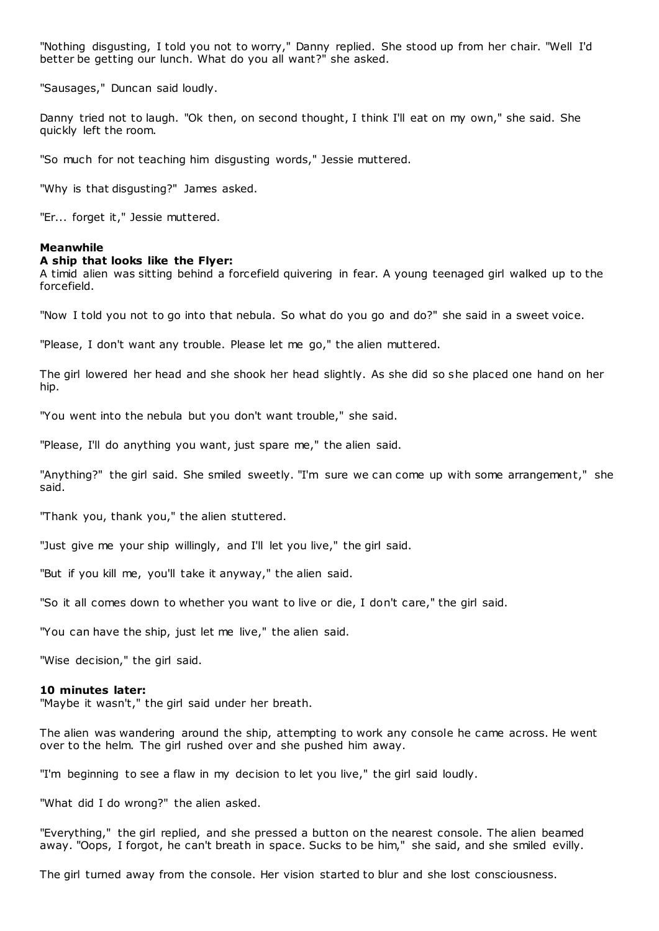"Nothing disgusting, I told you not to worry," Danny replied. She stood up from her chair. "Well I'd better be getting our lunch. What do you all want?" she asked.

"Sausages," Duncan said loudly.

Danny tried not to laugh. "Ok then, on second thought, I think I'll eat on my own," she said. She quickly left the room.

"So much for not teaching him disgusting words," Jessie muttered.

"Why is that disgusting?" James asked.

"Er... forget it," Jessie muttered.

#### **Meanwhile**

#### **A ship that looks like the Flyer:**

A timid alien was sitting behind a forcefield quivering in fear. A young teenaged girl walked up to the forcefield.

"Now I told you not to go into that nebula. So what do you go and do?" she said in a sweet voice.

"Please, I don't want any trouble. Please let me go," the alien muttered.

The girl lowered her head and she shook her head slightly. As she did so she placed one hand on her hip.

"You went into the nebula but you don't want trouble," she said.

"Please, I'll do anything you want, just spare me," the alien said.

"Anything?" the girl said. She smiled sweetly. "I'm sure we can come up with some arrangement," she said.

"Thank you, thank you," the alien stuttered.

"Just give me your ship willingly, and I'll let you live," the girl said.

"But if you kill me, you'll take it anyway," the alien said.

"So it all comes down to whether you want to live or die, I don't care," the girl said.

"You can have the ship, just let me live," the alien said.

"Wise decision," the girl said.

#### **10 minutes later:**

"Maybe it wasn't," the girl said under her breath.

The alien was wandering around the ship, attempting to work any console he came across. He went over to the helm. The girl rushed over and she pushed him away.

"I'm beginning to see a flaw in my decision to let you live," the girl said loudly.

"What did I do wrong?" the alien asked.

"Everything," the girl replied, and she pressed a button on the nearest console. The alien beamed away. "Oops, I forgot, he can't breath in space. Sucks to be him," she said, and she smiled evilly.

The girl turned away from the console. Her vision started to blur and she lost consciousness.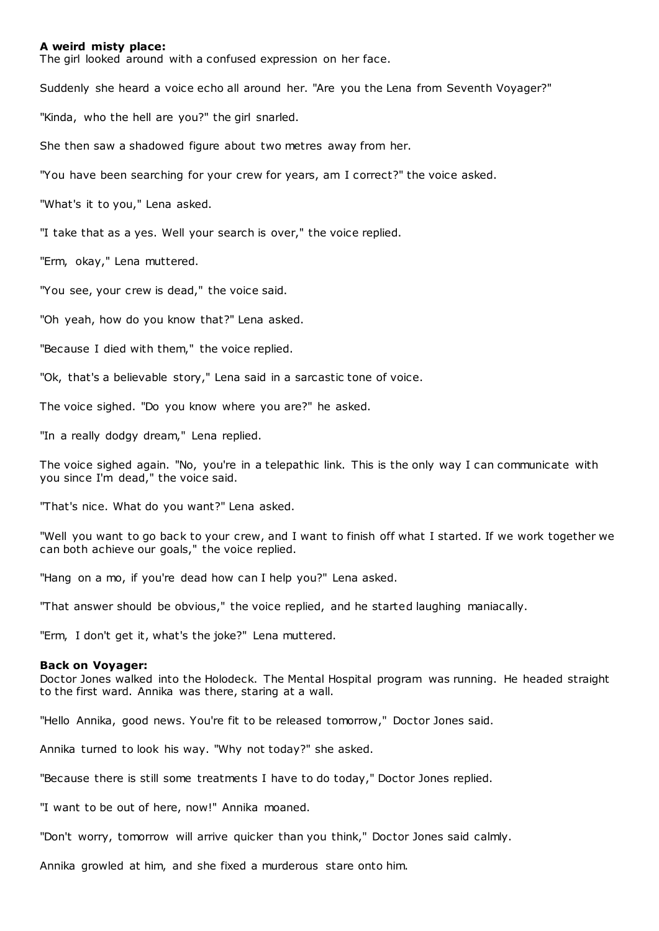### **A weird misty place:**

The girl looked around with a confused expression on her face.

Suddenly she heard a voice echo all around her. "Are you the Lena from Seventh Voyager?"

"Kinda, who the hell are you?" the girl snarled.

She then saw a shadowed figure about two metres away from her.

"You have been searching for your crew for years, am I correct?" the voice asked.

"What's it to you," Lena asked.

"I take that as a yes. Well your search is over," the voice replied.

"Erm, okay," Lena muttered.

"You see, your crew is dead," the voice said.

"Oh yeah, how do you know that?" Lena asked.

"Because I died with them," the voice replied.

"Ok, that's a believable story," Lena said in a sarcastic tone of voice.

The voice sighed. "Do you know where you are?" he asked.

"In a really dodgy dream," Lena replied.

The voice sighed again. "No, you're in a telepathic link. This is the only way I can communicate with you since I'm dead," the voice said.

"That's nice. What do you want?" Lena asked.

"Well you want to go back to your crew, and I want to finish off what I started. If we work together we can both achieve our goals," the voice replied.

"Hang on a mo, if you're dead how can I help you?" Lena asked.

"That answer should be obvious," the voice replied, and he started laughing maniacally.

"Erm, I don't get it, what's the joke?" Lena muttered.

#### **Back on Voyager:**

Doctor Jones walked into the Holodeck. The Mental Hospital program was running. He headed straight to the first ward. Annika was there, staring at a wall.

"Hello Annika, good news. You're fit to be released tomorrow," Doctor Jones said.

Annika turned to look his way. "Why not today?" she asked.

"Because there is still some treatments I have to do today," Doctor Jones replied.

"I want to be out of here, now!" Annika moaned.

"Don't worry, tomorrow will arrive quicker than you think," Doctor Jones said calmly.

Annika growled at him, and she fixed a murderous stare onto him.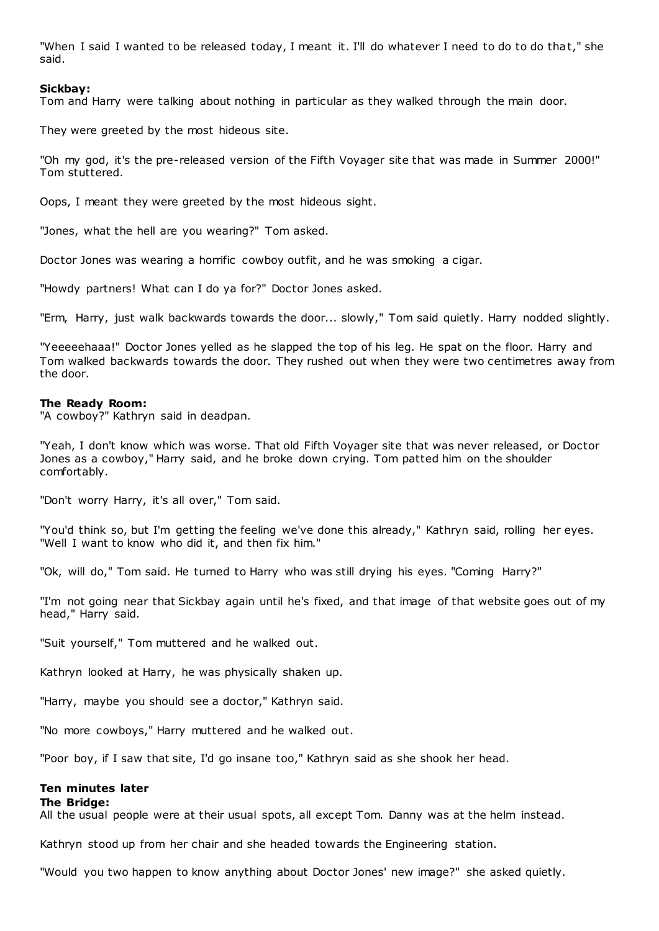"When I said I wanted to be released today, I meant it. I'll do whatever I need to do to do that," she said.

## **Sickbay:**

Tom and Harry were talking about nothing in particular as they walked through the main door.

They were greeted by the most hideous site.

"Oh my god, it's the pre-released version of the Fifth Voyager site that was made in Summer 2000!" Tom stuttered.

Oops, I meant they were greeted by the most hideous sight.

"Jones, what the hell are you wearing?" Tom asked.

Doctor Jones was wearing a horrific cowboy outfit, and he was smoking a cigar.

"Howdy partners! What can I do ya for?" Doctor Jones asked.

"Erm, Harry, just walk backwards towards the door... slowly," Tom said quietly. Harry nodded slightly.

"Yeeeeehaaa!" Doctor Jones yelled as he slapped the top of his leg. He spat on the floor. Harry and Tom walked backwards towards the door. They rushed out when they were two centimetres away from the door.

### **The Ready Room:**

"A cowboy?" Kathryn said in deadpan.

"Yeah, I don't know which was worse. That old Fifth Voyager site that was never released, or Doctor Jones as a cowboy," Harry said, and he broke down crying. Tom patted him on the shoulder comfortably.

"Don't worry Harry, it's all over," Tom said.

"You'd think so, but I'm getting the feeling we've done this already," Kathryn said, rolling her eyes. "Well I want to know who did it, and then fix him."

"Ok, will do," Tom said. He turned to Harry who was still drying his eyes. "Coming Harry?"

"I'm not going near that Sickbay again until he's fixed, and that image of that website goes out of my head," Harry said.

"Suit yourself," Tom muttered and he walked out.

Kathryn looked at Harry, he was physically shaken up.

"Harry, maybe you should see a doctor," Kathryn said.

"No more cowboys," Harry muttered and he walked out.

"Poor boy, if I saw that site, I'd go insane too," Kathryn said as she shook her head.

## **Ten minutes later**

**The Bridge:**

All the usual people were at their usual spots, all except Tom. Danny was at the helm instead.

Kathryn stood up from her chair and she headed towards the Engineering station.

"Would you two happen to know anything about Doctor Jones' new image?" she asked quietly.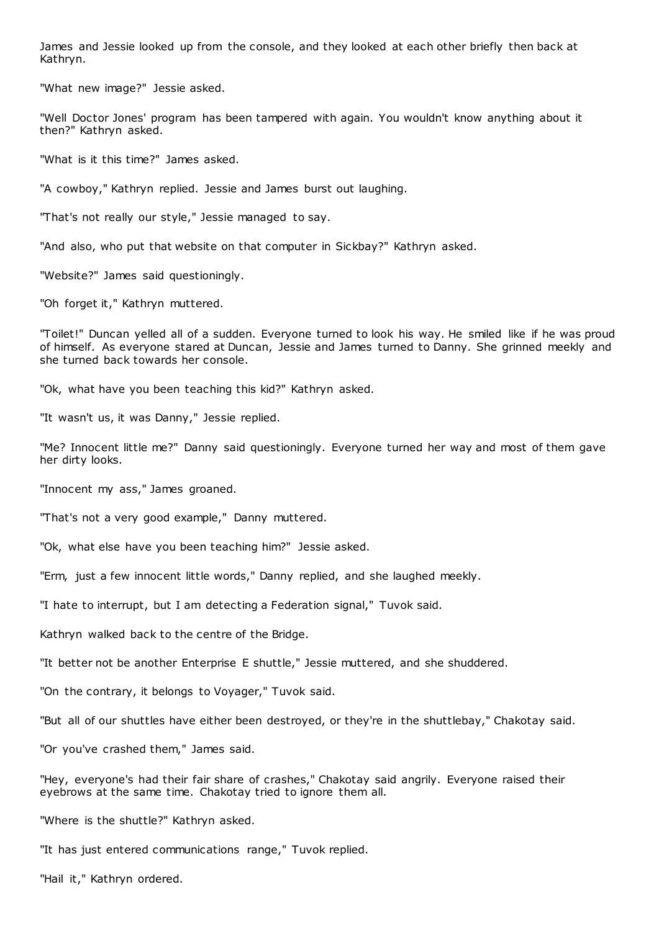James and Jessie looked up from the console, and they looked at each other briefly then back at Kathryn.

"What new image?" Jessie asked.

"Well Doctor Jones' program has been tampered with again. You wouldn't know anything about it then?" Kathryn asked.

"What is it this time?" James asked.

"A cowboy," Kathryn replied. Jessie and James burst out laughing.

"That's not really our style," Jessie managed to say.

"And also, who put that website on that computer in Sickbay?" Kathryn asked.

"Website?" James said questioningly.

"Oh forget it," Kathryn muttered.

"Toilet!" Duncan yelled all of a sudden. Everyone turned to look his way. He smiled like if he was proud of himself. As everyone stared at Duncan, Jessie and James turned to Danny. She grinned meekly and she turned back towards her console.

"Ok, what have you been teaching this kid?" Kathryn asked.

"It wasn't us, it was Danny," Jessie replied.

"Me? Innocent little me?" Danny said questioningly. Everyone turned her way and most of them gave her dirty looks.

"Innocent my ass," James groaned.

"That's not a very good example," Danny muttered.

"Ok, what else have you been teaching him?" Jessie asked.

"Erm, just a few innocent little words," Danny replied, and she laughed meekly.

"I hate to interrupt, but I am detecting a Federation signal," Tuvok said.

Kathryn walked back to the centre of the Bridge.

"It better not be another Enterprise E shuttle," Jessie muttered, and she shuddered.

"On the contrary, it belongs to Voyager," Tuvok said.

"But all of our shuttles have either been destroyed, or they're in the shuttlebay," Chakotay said.

"Or you've crashed them," James said.

"Hey, everyone's had their fair share of crashes," Chakotay said angrily. Everyone raised their eyebrows at the same time. Chakotay tried to ignore them all.

"Where is the shuttle?" Kathryn asked.

"It has just entered communications range," Tuvok replied.

"Hail it," Kathryn ordered.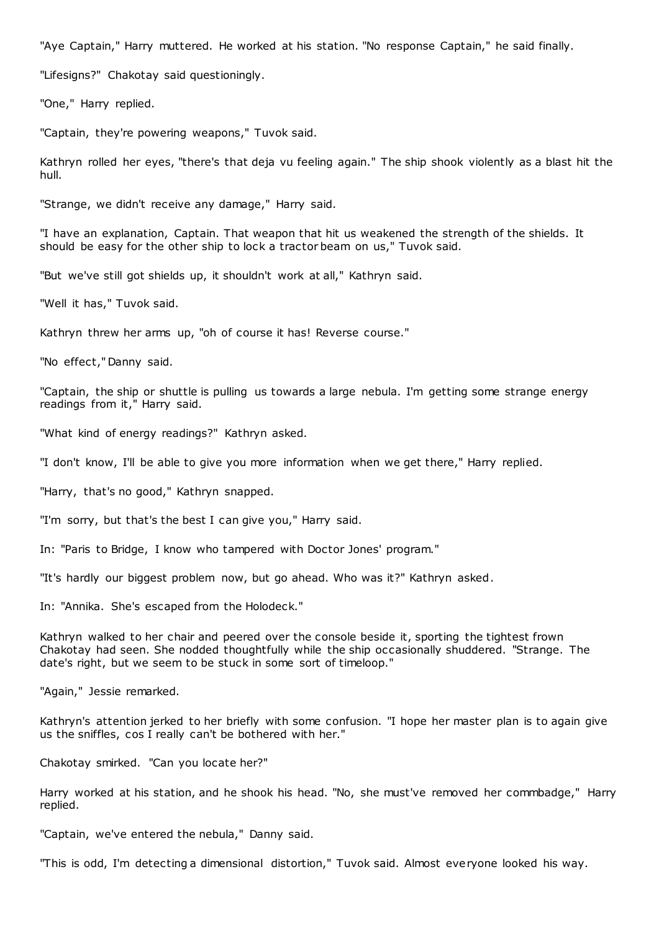"Aye Captain," Harry muttered. He worked at his station. "No response Captain," he said finally.

"Lifesigns?" Chakotay said questioningly.

"One," Harry replied.

"Captain, they're powering weapons," Tuvok said.

Kathryn rolled her eyes, "there's that deja vu feeling again." The ship shook violently as a blast hit the hull.

"Strange, we didn't receive any damage," Harry said.

"I have an explanation, Captain. That weapon that hit us weakened the strength of the shields. It should be easy for the other ship to lock a tractor beam on us," Tuvok said.

"But we've still got shields up, it shouldn't work at all," Kathryn said.

"Well it has," Tuvok said.

Kathryn threw her arms up, "oh of course it has! Reverse course."

"No effect," Danny said.

"Captain, the ship or shuttle is pulling us towards a large nebula. I'm getting some strange energy readings from it," Harry said.

"What kind of energy readings?" Kathryn asked.

"I don't know, I'll be able to give you more information when we get there," Harry replied.

"Harry, that's no good," Kathryn snapped.

"I'm sorry, but that's the best I can give you," Harry said.

In: "Paris to Bridge, I know who tampered with Doctor Jones' program."

"It's hardly our biggest problem now, but go ahead. Who was it?" Kathryn asked.

In: "Annika. She's escaped from the Holodeck."

Kathryn walked to her chair and peered over the console beside it, sporting the tightest frown Chakotay had seen. She nodded thoughtfully while the ship occasionally shuddered. "Strange. The date's right, but we seem to be stuck in some sort of timeloop."

"Again," Jessie remarked.

Kathryn's attention jerked to her briefly with some confusion. "I hope her master plan is to again give us the sniffles, cos I really can't be bothered with her."

Chakotay smirked. "Can you locate her?"

Harry worked at his station, and he shook his head. "No, she must've removed her commbadge," Harry replied.

"Captain, we've entered the nebula," Danny said.

"This is odd, I'm detecting a dimensional distortion," Tuvok said. Almost everyone looked his way.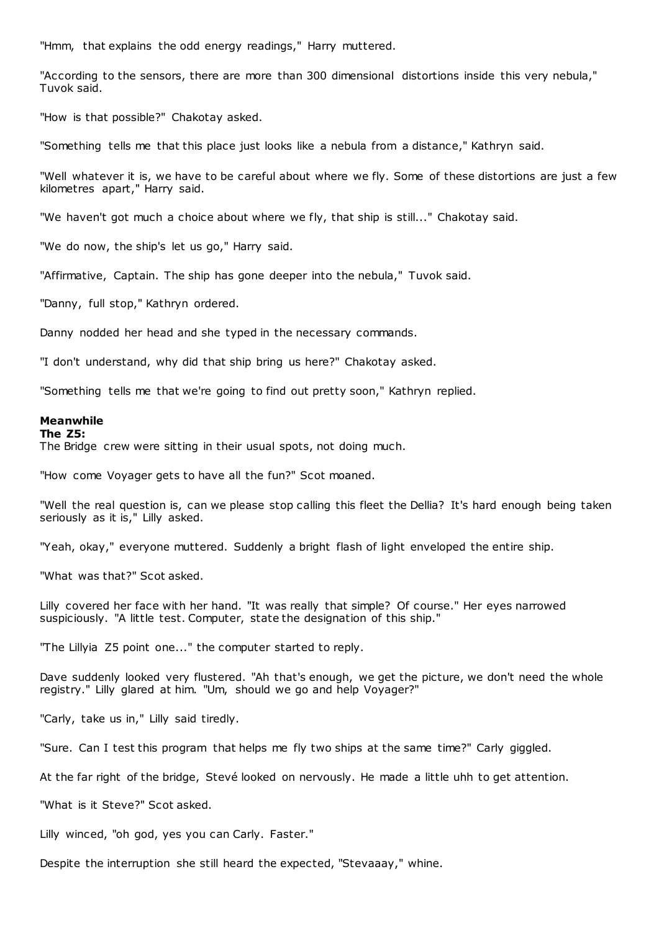"Hmm, that explains the odd energy readings," Harry muttered.

"According to the sensors, there are more than 300 dimensional distortions inside this very nebula," Tuvok said.

"How is that possible?" Chakotay asked.

"Something tells me that this place just looks like a nebula from a distance," Kathryn said.

"Well whatever it is, we have to be careful about where we fly. Some of these distortions are just a few kilometres apart," Harry said.

"We haven't got much a choice about where we fly, that ship is still..." Chakotay said.

"We do now, the ship's let us go," Harry said.

"Affirmative, Captain. The ship has gone deeper into the nebula," Tuvok said.

"Danny, full stop," Kathryn ordered.

Danny nodded her head and she typed in the necessary commands.

"I don't understand, why did that ship bring us here?" Chakotay asked.

"Something tells me that we're going to find out pretty soon," Kathryn replied.

### **Meanwhile**

### **The Z5:**

The Bridge crew were sitting in their usual spots, not doing much.

"How come Voyager gets to have all the fun?" Scot moaned.

"Well the real question is, can we please stop calling this fleet the Dellia? It's hard enough being taken seriously as it is," Lilly asked.

"Yeah, okay," everyone muttered. Suddenly a bright flash of light enveloped the entire ship.

"What was that?" Scot asked.

Lilly covered her face with her hand. "It was really that simple? Of course." Her eyes narrowed suspiciously. "A little test. Computer, state the designation of this ship."

"The Lillyia Z5 point one..." the computer started to reply.

Dave suddenly looked very flustered. "Ah that's enough, we get the picture, we don't need the whole registry." Lilly glared at him. "Um, should we go and help Voyager?"

"Carly, take us in," Lilly said tiredly.

"Sure. Can I test this program that helps me fly two ships at the same time?" Carly giggled.

At the far right of the bridge, Stevé looked on nervously. He made a little uhh to get attention.

"What is it Steve?" Scot asked.

Lilly winced, "oh god, yes you can Carly. Faster."

Despite the interruption she still heard the expected, "Stevaaay," whine.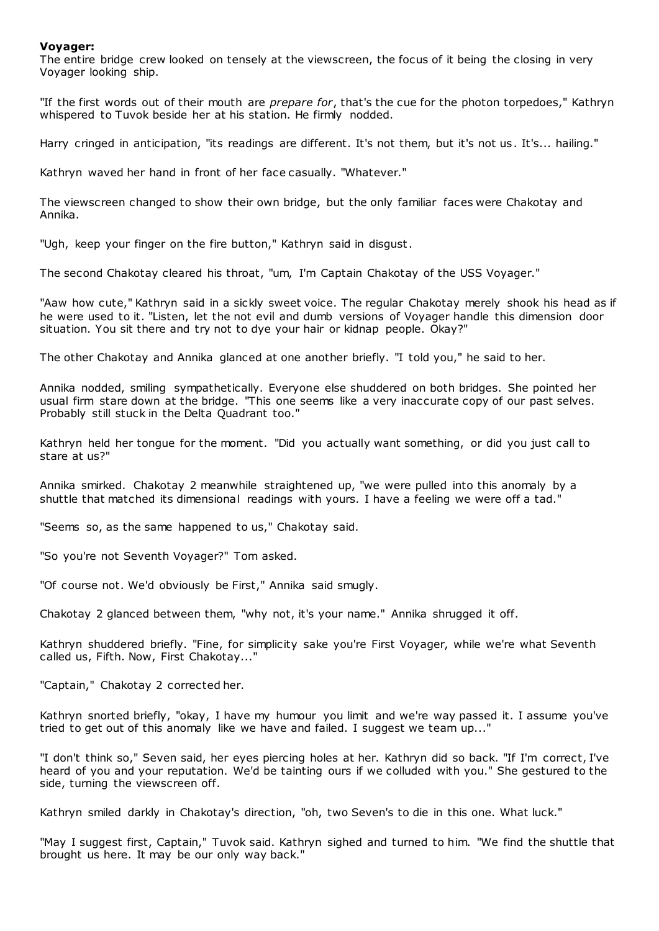### **Voyager:**

The entire bridge crew looked on tensely at the viewscreen, the focus of it being the closing in very Voyager looking ship.

"If the first words out of their mouth are *prepare for*, that's the cue for the photon torpedoes," Kathryn whispered to Tuvok beside her at his station. He firmly nodded.

Harry cringed in anticipation, "its readings are different. It's not them, but it's not us. It's... hailing."

Kathryn waved her hand in front of her face casually. "Whatever."

The viewscreen changed to show their own bridge, but the only familiar faces were Chakotay and Annika.

"Ugh, keep your finger on the fire button," Kathryn said in disgust.

The second Chakotay cleared his throat, "um, I'm Captain Chakotay of the USS Voyager."

"Aaw how cute," Kathryn said in a sickly sweet voice. The regular Chakotay merely shook his head as if he were used to it. "Listen, let the not evil and dumb versions of Voyager handle this dimension door situation. You sit there and try not to dye your hair or kidnap people. Okay?"

The other Chakotay and Annika glanced at one another briefly. "I told you," he said to her.

Annika nodded, smiling sympathetically. Everyone else shuddered on both bridges. She pointed her usual firm stare down at the bridge. "This one seems like a very inaccurate copy of our past selves. Probably still stuck in the Delta Quadrant too."

Kathryn held her tongue for the moment. "Did you actually want something, or did you just call to stare at us?"

Annika smirked. Chakotay 2 meanwhile straightened up, "we were pulled into this anomaly by a shuttle that matched its dimensional readings with yours. I have a feeling we were off a tad."

"Seems so, as the same happened to us," Chakotay said.

"So you're not Seventh Voyager?" Tom asked.

"Of course not. We'd obviously be First," Annika said smugly.

Chakotay 2 glanced between them, "why not, it's your name." Annika shrugged it off.

Kathryn shuddered briefly. "Fine, for simplicity sake you're First Voyager, while we're what Seventh called us, Fifth. Now, First Chakotay..."

"Captain," Chakotay 2 corrected her.

Kathryn snorted briefly, "okay, I have my humour you limit and we're way passed it. I assume you've tried to get out of this anomaly like we have and failed. I suggest we team up..."

"I don't think so," Seven said, her eyes piercing holes at her. Kathryn did so back. "If I'm correct, I've heard of you and your reputation. We'd be tainting ours if we colluded with you." She gestured to the side, turning the viewscreen off.

Kathryn smiled darkly in Chakotay's direction, "oh, two Seven's to die in this one. What luck."

"May I suggest first, Captain," Tuvok said. Kathryn sighed and turned to him. "We find the shuttle that brought us here. It may be our only way back."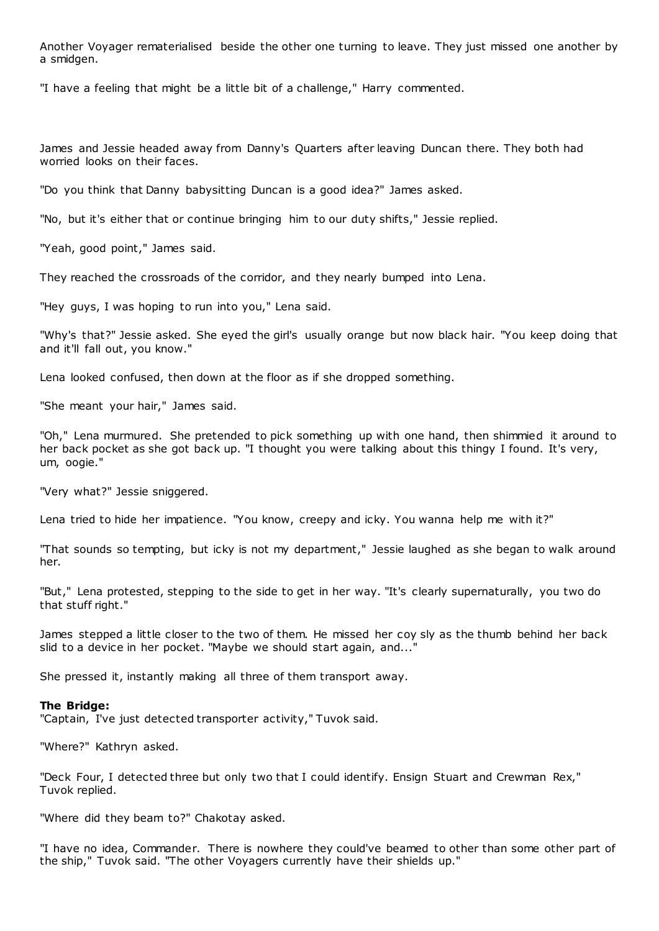Another Voyager rematerialised beside the other one turning to leave. They just missed one another by a smidgen.

"I have a feeling that might be a little bit of a challenge," Harry commented.

James and Jessie headed away from Danny's Quarters after leaving Duncan there. They both had worried looks on their faces.

"Do you think that Danny babysitting Duncan is a good idea?" James asked.

"No, but it's either that or continue bringing him to our duty shifts," Jessie replied.

"Yeah, good point," James said.

They reached the crossroads of the corridor, and they nearly bumped into Lena.

"Hey guys, I was hoping to run into you," Lena said.

"Why's that?" Jessie asked. She eyed the girl's usually orange but now black hair. "You keep doing that and it'll fall out, you know."

Lena looked confused, then down at the floor as if she dropped something.

"She meant your hair," James said.

"Oh," Lena murmured. She pretended to pick something up with one hand, then shimmied it around to her back pocket as she got back up. "I thought you were talking about this thingy I found. It's very, um, oogie."

"Very what?" Jessie sniggered.

Lena tried to hide her impatience. "You know, creepy and icky. You wanna help me with it?"

"That sounds so tempting, but icky is not my department," Jessie laughed as she began to walk around her.

"But," Lena protested, stepping to the side to get in her way. "It's clearly supernaturally, you two do that stuff right."

James stepped a little closer to the two of them. He missed her coy sly as the thumb behind her back slid to a device in her pocket. "Maybe we should start again, and..."

She pressed it, instantly making all three of them transport away.

### **The Bridge:**

"Captain, I've just detected transporter activity," Tuvok said.

"Where?" Kathryn asked.

"Deck Four, I detected three but only two that I could identify. Ensign Stuart and Crewman Rex," Tuvok replied.

"Where did they beam to?" Chakotay asked.

"I have no idea, Commander. There is nowhere they could've beamed to other than some other part of the ship," Tuvok said. "The other Voyagers currently have their shields up."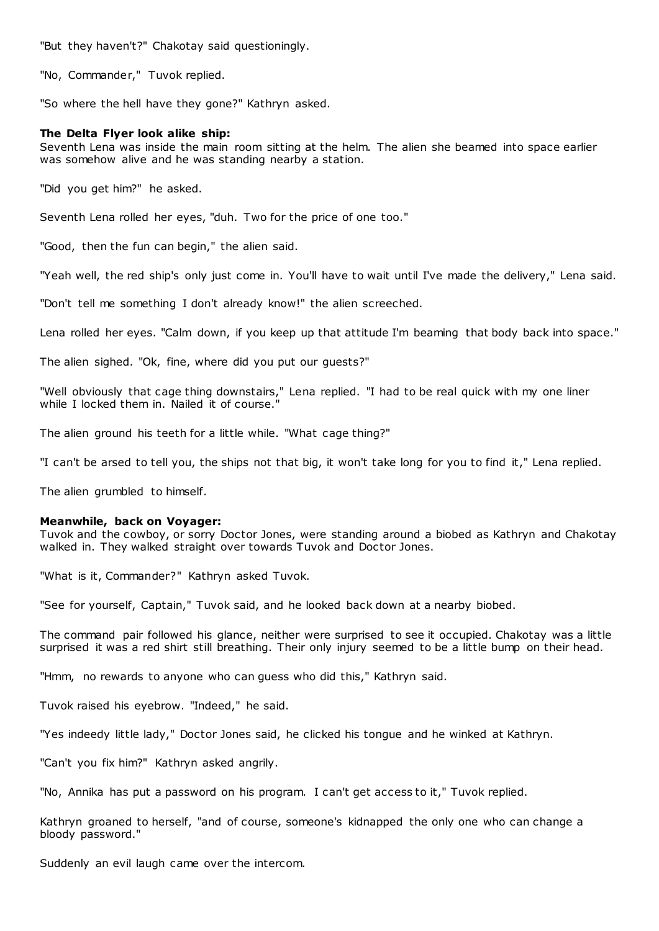"But they haven't?" Chakotay said questioningly.

"No, Commander," Tuvok replied.

"So where the hell have they gone?" Kathryn asked.

## **The Delta Flyer look alike ship:**

Seventh Lena was inside the main room sitting at the helm. The alien she beamed into space earlier was somehow alive and he was standing nearby a station.

"Did you get him?" he asked.

Seventh Lena rolled her eyes, "duh. Two for the price of one too."

"Good, then the fun can begin," the alien said.

"Yeah well, the red ship's only just come in. You'll have to wait until I've made the delivery," Lena said.

"Don't tell me something I don't already know!" the alien screeched.

Lena rolled her eyes. "Calm down, if you keep up that attitude I'm beaming that body back into space."

The alien sighed. "Ok, fine, where did you put our guests?"

"Well obviously that cage thing downstairs," Lena replied. "I had to be real quick with my one liner while I locked them in. Nailed it of course."

The alien ground his teeth for a little while. "What cage thing?"

"I can't be arsed to tell you, the ships not that big, it won't take long for you to find it," Lena replied.

The alien grumbled to himself.

### **Meanwhile, back on Voyager:**

Tuvok and the cowboy, or sorry Doctor Jones, were standing around a biobed as Kathryn and Chakotay walked in. They walked straight over towards Tuvok and Doctor Jones.

"What is it, Commander?" Kathryn asked Tuvok.

"See for yourself, Captain," Tuvok said, and he looked back down at a nearby biobed.

The command pair followed his glance, neither were surprised to see it occupied. Chakotay was a little surprised it was a red shirt still breathing. Their only injury seemed to be a little bump on their head.

"Hmm, no rewards to anyone who can guess who did this," Kathryn said.

Tuvok raised his eyebrow. "Indeed," he said.

"Yes indeedy little lady," Doctor Jones said, he clicked his tongue and he winked at Kathryn.

"Can't you fix him?" Kathryn asked angrily.

"No, Annika has put a password on his program. I can't get access to it," Tuvok replied.

Kathryn groaned to herself, "and of course, someone's kidnapped the only one who can change a bloody password."

Suddenly an evil laugh came over the intercom.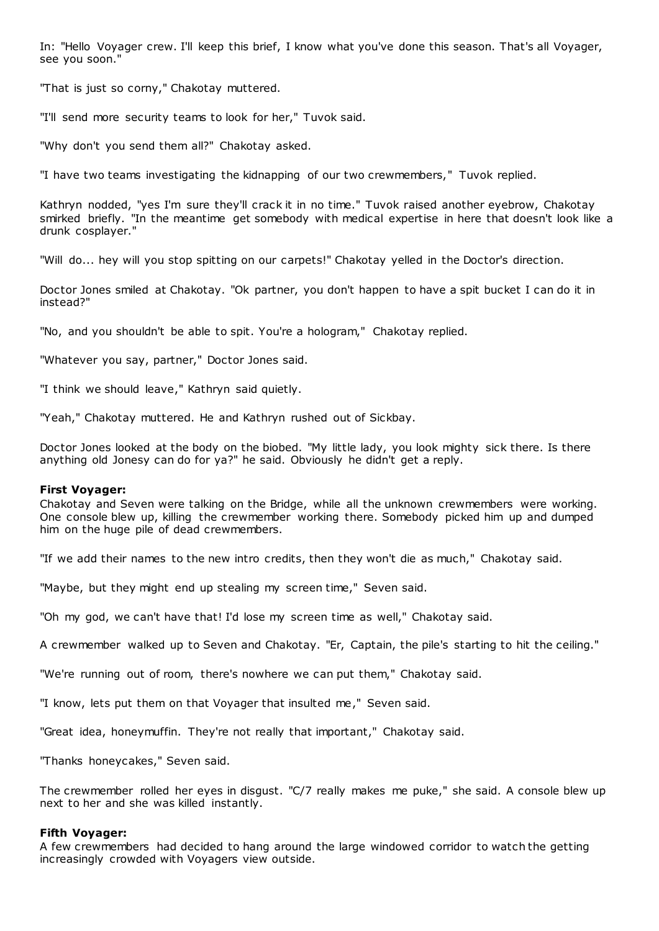In: "Hello Voyager crew. I'll keep this brief, I know what you've done this season. That's all Voyager, see you soon."

"That is just so corny," Chakotay muttered.

"I'll send more security teams to look for her," Tuvok said.

"Why don't you send them all?" Chakotay asked.

"I have two teams investigating the kidnapping of our two crewmembers," Tuvok replied.

Kathryn nodded, "yes I'm sure they'll crack it in no time." Tuvok raised another eyebrow, Chakotay smirked briefly. "In the meantime get somebody with medical expertise in here that doesn't look like a drunk cosplayer."

"Will do... hey will you stop spitting on our carpets!" Chakotay yelled in the Doctor's direction.

Doctor Jones smiled at Chakotay. "Ok partner, you don't happen to have a spit bucket I can do it in instead?"

"No, and you shouldn't be able to spit. You're a hologram," Chakotay replied.

"Whatever you say, partner," Doctor Jones said.

"I think we should leave," Kathryn said quietly.

"Yeah," Chakotay muttered. He and Kathryn rushed out of Sickbay.

Doctor Jones looked at the body on the biobed. "My little lady, you look mighty sick there. Is there anything old Jonesy can do for ya?" he said. Obviously he didn't get a reply.

### **First Voyager:**

Chakotay and Seven were talking on the Bridge, while all the unknown crewmembers were working. One console blew up, killing the crewmember working there. Somebody picked him up and dumped him on the huge pile of dead crewmembers.

"If we add their names to the new intro credits, then they won't die as much," Chakotay said.

"Maybe, but they might end up stealing my screen time," Seven said.

"Oh my god, we can't have that! I'd lose my screen time as well," Chakotay said.

A crewmember walked up to Seven and Chakotay. "Er, Captain, the pile's starting to hit the ceiling."

"We're running out of room, there's nowhere we can put them," Chakotay said.

"I know, lets put them on that Voyager that insulted me," Seven said.

"Great idea, honeymuffin. They're not really that important," Chakotay said.

"Thanks honeycakes," Seven said.

The crewmember rolled her eyes in disgust. "C/7 really makes me puke," she said. A console blew up next to her and she was killed instantly.

### **Fifth Voyager:**

A few crewmembers had decided to hang around the large windowed corridor to watch the getting increasingly crowded with Voyagers view outside.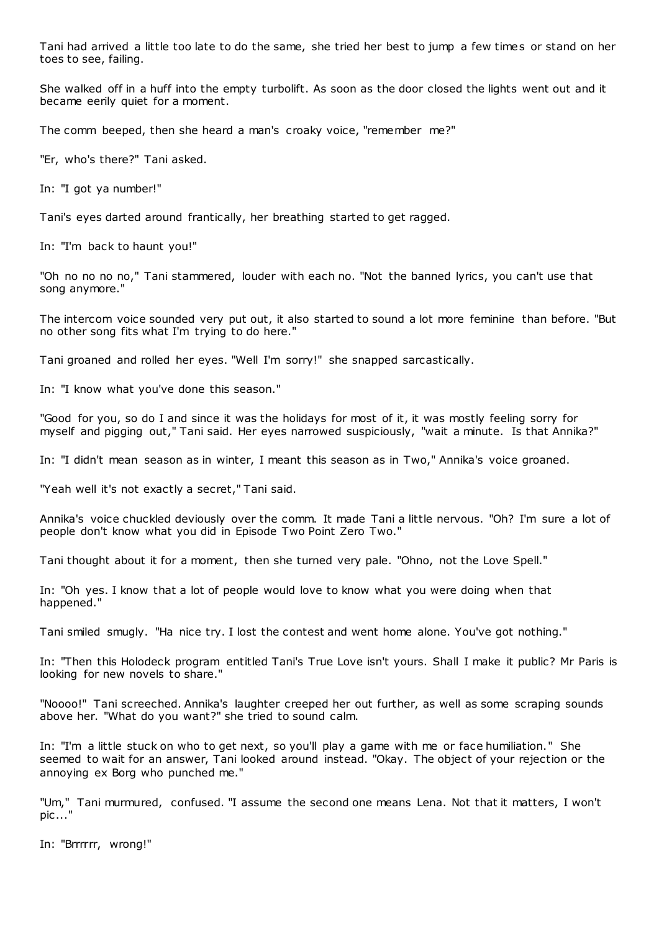Tani had arrived a little too late to do the same, she tried her best to jump a few times or stand on her toes to see, failing.

She walked off in a huff into the empty turbolift. As soon as the door closed the lights went out and it became eerily quiet for a moment.

The comm beeped, then she heard a man's croaky voice, "remember me?"

"Er, who's there?" Tani asked.

In: "I got ya number!"

Tani's eyes darted around frantically, her breathing started to get ragged.

In: "I'm back to haunt you!"

"Oh no no no no," Tani stammered, louder with each no. "Not the banned lyrics, you can't use that song anymore."

The intercom voice sounded very put out, it also started to sound a lot more feminine than before. "But no other song fits what I'm trying to do here."

Tani groaned and rolled her eyes. "Well I'm sorry!" she snapped sarcastically.

In: "I know what you've done this season."

"Good for you, so do I and since it was the holidays for most of it, it was mostly feeling sorry for myself and pigging out," Tani said. Her eyes narrowed suspiciously, "wait a minute. Is that Annika?"

In: "I didn't mean season as in winter, I meant this season as in Two," Annika's voice groaned.

"Yeah well it's not exactly a secret," Tani said.

Annika's voice chuckled deviously over the comm. It made Tani a little nervous. "Oh? I'm sure a lot of people don't know what you did in Episode Two Point Zero Two."

Tani thought about it for a moment, then she turned very pale. "Ohno, not the Love Spell."

In: "Oh yes. I know that a lot of people would love to know what you were doing when that happened."

Tani smiled smugly. "Ha nice try. I lost the contest and went home alone. You've got nothing."

In: "Then this Holodeck program entitled Tani's True Love isn't yours. Shall I make it public? Mr Paris is looking for new novels to share."

"Noooo!" Tani screeched. Annika's laughter creeped her out further, as well as some scraping sounds above her. "What do you want?" she tried to sound calm.

In: "I'm a little stuck on who to get next, so you'll play a game with me or face humiliation." She seemed to wait for an answer, Tani looked around instead. "Okay. The object of your rejection or the annoying ex Borg who punched me."

"Um," Tani murmured, confused. "I assume the second one means Lena. Not that it matters, I won't pic ..."

In: "Brrrrrr, wrong!"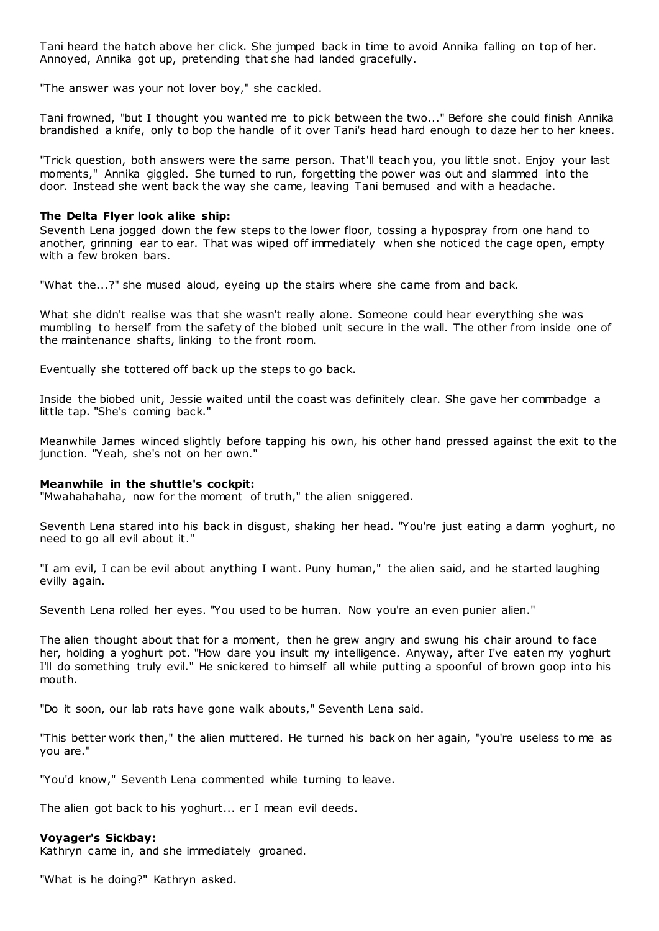Tani heard the hatch above her click. She jumped back in time to avoid Annika falling on top of her. Annoyed, Annika got up, pretending that she had landed gracefully.

"The answer was your not lover boy," she cackled.

Tani frowned, "but I thought you wanted me to pick between the two..." Before she could finish Annika brandished a knife, only to bop the handle of it over Tani's head hard enough to daze her to her knees.

"Trick question, both answers were the same person. That'll teach you, you little snot. Enjoy your last moments," Annika giggled. She turned to run, forgetting the power was out and slammed into the door. Instead she went back the way she came, leaving Tani bemused and with a headache.

### **The Delta Flyer look alike ship:**

Seventh Lena jogged down the few steps to the lower floor, tossing a hypospray from one hand to another, grinning ear to ear. That was wiped off immediately when she noticed the cage open, empty with a few broken bars.

"What the...?" she mused aloud, eyeing up the stairs where she came from and back.

What she didn't realise was that she wasn't really alone. Someone could hear everything she was mumbling to herself from the safety of the biobed unit secure in the wall. The other from inside one of the maintenance shafts, linking to the front room.

Eventually she tottered off back up the steps to go back.

Inside the biobed unit, Jessie waited until the coast was definitely clear. She gave her commbadge a little tap. "She's coming back."

Meanwhile James winced slightly before tapping his own, his other hand pressed against the exit to the junction. "Yeah, she's not on her own."

#### **Meanwhile in the shuttle's cockpit:**

"Mwahahahaha, now for the moment of truth," the alien sniggered.

Seventh Lena stared into his back in disgust, shaking her head. "You're just eating a damn yoghurt, no need to go all evil about it."

"I am evil, I can be evil about anything I want. Puny human," the alien said, and he started laughing evilly again.

Seventh Lena rolled her eyes. "You used to be human. Now you're an even punier alien."

The alien thought about that for a moment, then he grew angry and swung his chair around to face her, holding a yoghurt pot. "How dare you insult my intelligence. Anyway, after I've eaten my yoghurt I'll do something truly evil." He snickered to himself all while putting a spoonful of brown goop into his mouth.

"Do it soon, our lab rats have gone walk abouts," Seventh Lena said.

"This better work then," the alien muttered. He turned his back on her again, "you're useless to me as you are."

"You'd know," Seventh Lena commented while turning to leave.

The alien got back to his yoghurt... er I mean evil deeds.

### **Voyager's Sickbay:**

Kathryn came in, and she immediately groaned.

"What is he doing?" Kathryn asked.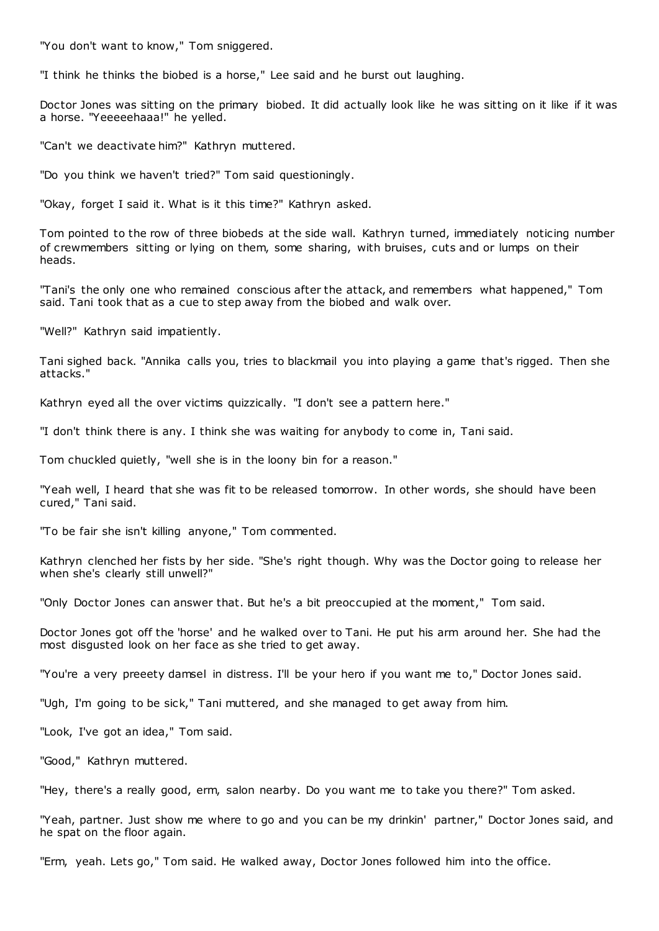"You don't want to know," Tom sniggered.

"I think he thinks the biobed is a horse," Lee said and he burst out laughing.

Doctor Jones was sitting on the primary biobed. It did actually look like he was sitting on it like if it was a horse. "Yeeeeehaaa!" he yelled.

"Can't we deactivate him?" Kathryn muttered.

"Do you think we haven't tried?" Tom said questioningly.

"Okay, forget I said it. What is it this time?" Kathryn asked.

Tom pointed to the row of three biobeds at the side wall. Kathryn turned, immediately noticing number of crewmembers sitting or lying on them, some sharing, with bruises, cuts and or lumps on their heads.

"Tani's the only one who remained conscious after the attack, and remembers what happened," Tom said. Tani took that as a cue to step away from the biobed and walk over.

"Well?" Kathryn said impatiently.

Tani sighed back. "Annika calls you, tries to blackmail you into playing a game that's rigged. Then she attacks."

Kathryn eyed all the over victims quizzically. "I don't see a pattern here."

"I don't think there is any. I think she was waiting for anybody to come in, Tani said.

Tom chuckled quietly, "well she is in the loony bin for a reason."

"Yeah well, I heard that she was fit to be released tomorrow. In other words, she should have been cured," Tani said.

"To be fair she isn't killing anyone," Tom commented.

Kathryn clenched her fists by her side. "She's right though. Why was the Doctor going to release her when she's clearly still unwell?"

"Only Doctor Jones can answer that. But he's a bit preoccupied at the moment," Tom said.

Doctor Jones got off the 'horse' and he walked over to Tani. He put his arm around her. She had the most disgusted look on her face as she tried to get away.

"You're a very preeety damsel in distress. I'll be your hero if you want me to," Doctor Jones said.

"Ugh, I'm going to be sick," Tani muttered, and she managed to get away from him.

"Look, I've got an idea," Tom said.

"Good," Kathryn muttered.

"Hey, there's a really good, erm, salon nearby. Do you want me to take you there?" Tom asked.

"Yeah, partner. Just show me where to go and you can be my drinkin' partner," Doctor Jones said, and he spat on the floor again.

"Erm, yeah. Lets go," Tom said. He walked away, Doctor Jones followed him into the office.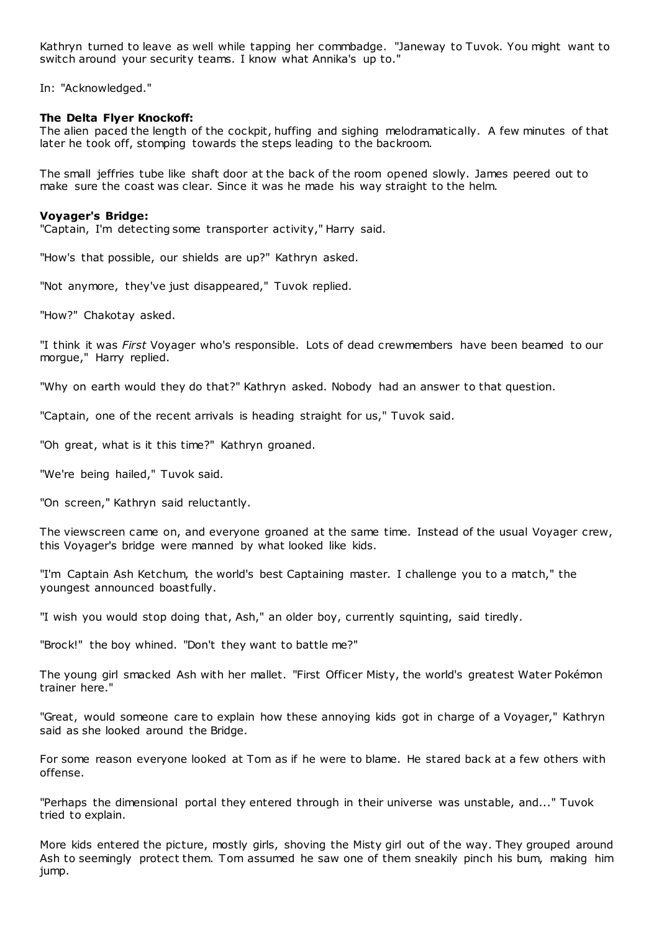Kathryn turned to leave as well while tapping her commbadge. "Janeway to Tuvok. You might want to switch around your security teams. I know what Annika's up to."

In: "Acknowledged."

### **The Delta Flyer Knockoff:**

The alien paced the length of the cockpit, huffing and sighing melodramatically. A few minutes of that later he took off, stomping towards the steps leading to the backroom.

The small jeffries tube like shaft door at the back of the room opened slowly. James peered out to make sure the coast was clear. Since it was he made his way straight to the helm.

#### **Voyager's Bridge:**

"Captain, I'm detecting some transporter activity," Harry said.

"How's that possible, our shields are up?" Kathryn asked.

"Not anymore, they've just disappeared," Tuvok replied.

"How?" Chakotay asked.

"I think it was *First* Voyager who's responsible. Lots of dead crewmembers have been beamed to our morgue," Harry replied.

"Why on earth would they do that?" Kathryn asked. Nobody had an answer to that question.

"Captain, one of the recent arrivals is heading straight for us," Tuvok said.

"Oh great, what is it this time?" Kathryn groaned.

"We're being hailed," Tuvok said.

"On screen," Kathryn said reluctantly.

The viewscreen came on, and everyone groaned at the same time. Instead of the usual Voyager crew, this Voyager's bridge were manned by what looked like kids.

"I'm Captain Ash Ketchum, the world's best Captaining master. I challenge you to a match," the youngest announced boastfully.

"I wish you would stop doing that, Ash," an older boy, currently squinting, said tiredly.

"Brock!" the boy whined. "Don't they want to battle me?"

The young girl smacked Ash with her mallet. "First Officer Misty, the world's greatest Water Pokémon trainer here."

"Great, would someone care to explain how these annoying kids got in charge of a Voyager," Kathryn said as she looked around the Bridge.

For some reason everyone looked at Tom as if he were to blame. He stared back at a few others with offense.

"Perhaps the dimensional portal they entered through in their universe was unstable, and..." Tuvok tried to explain.

More kids entered the picture, mostly girls, shoving the Misty girl out of the way. They grouped around Ash to seemingly protect them. Tom assumed he saw one of them sneakily pinch his bum, making him jump.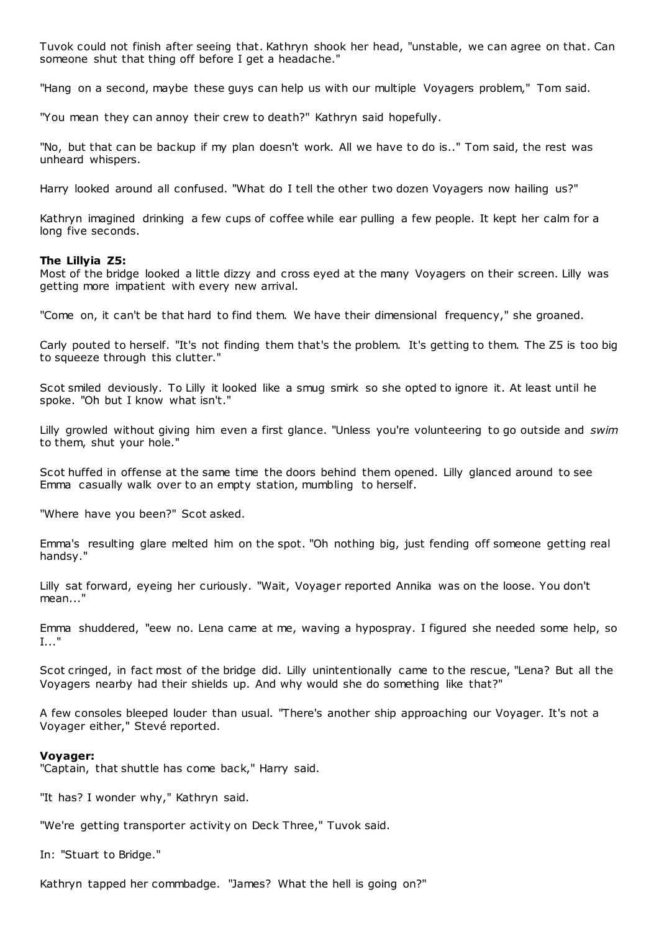Tuvok could not finish after seeing that. Kathryn shook her head, "unstable, we can agree on that. Can someone shut that thing off before I get a headache."

"Hang on a second, maybe these guys can help us with our multiple Voyagers problem," Tom said.

"You mean they can annoy their crew to death?" Kathryn said hopefully.

"No, but that can be backup if my plan doesn't work. All we have to do is.." Tom said, the rest was unheard whispers.

Harry looked around all confused. "What do I tell the other two dozen Voyagers now hailing us?"

Kathryn imagined drinking a few cups of coffee while ear pulling a few people. It kept her calm for a long five seconds.

### **The Lillyia Z5:**

Most of the bridge looked a little dizzy and cross eyed at the many Voyagers on their screen. Lilly was getting more impatient with every new arrival.

"Come on, it can't be that hard to find them. We have their dimensional frequency," she groaned.

Carly pouted to herself. "It's not finding them that's the problem. It's getting to them. The Z5 is too big to squeeze through this clutter."

Scot smiled deviously. To Lilly it looked like a smug smirk so she opted to ignore it. At least until he spoke. "Oh but I know what isn't."

Lilly growled without giving him even a first glance. "Unless you're volunteering to go outside and *swim* to them, shut your hole."

Scot huffed in offense at the same time the doors behind them opened. Lilly glanced around to see Emma casually walk over to an empty station, mumbling to herself.

"Where have you been?" Scot asked.

Emma's resulting glare melted him on the spot. "Oh nothing big, just fending off someone getting real handsy."

Lilly sat forward, eyeing her curiously. "Wait, Voyager reported Annika was on the loose. You don't mean..."

Emma shuddered, "eew no. Lena came at me, waving a hypospray. I figured she needed some help, so I..."

Scot cringed, in fact most of the bridge did. Lilly unintentionally came to the rescue, "Lena? But all the Voyagers nearby had their shields up. And why would she do something like that?"

A few consoles bleeped louder than usual. "There's another ship approaching our Voyager. It's not a Voyager either," Stevé reported.

## **Voyager:**

"Captain, that shuttle has come back," Harry said.

"It has? I wonder why," Kathryn said.

"We're getting transporter activity on Deck Three," Tuvok said.

In: "Stuart to Bridge."

Kathryn tapped her commbadge. "James? What the hell is going on?"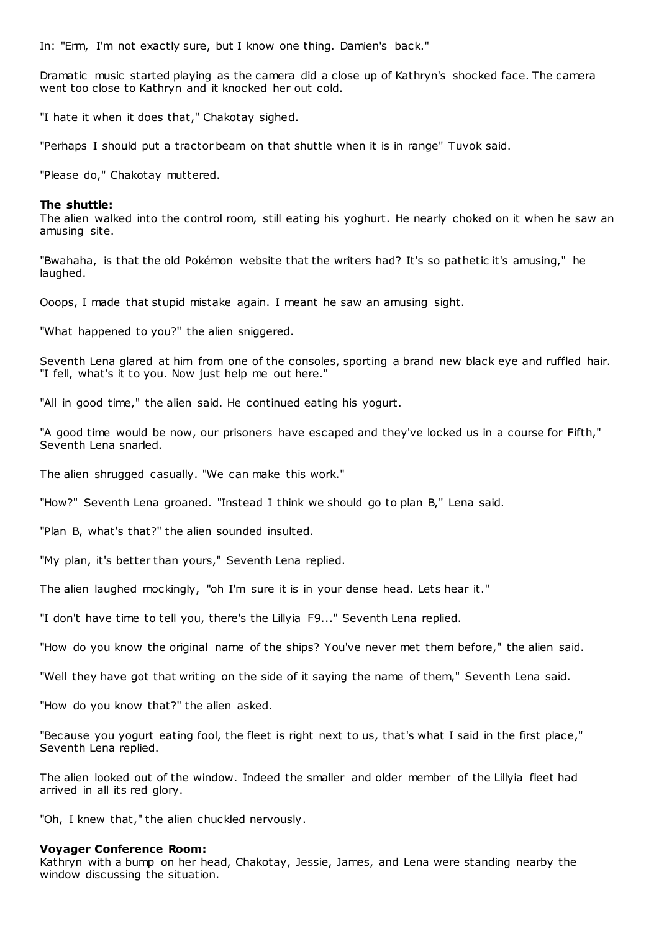In: "Erm, I'm not exactly sure, but I know one thing. Damien's back."

Dramatic music started playing as the camera did a close up of Kathryn's shocked face. The camera went too close to Kathryn and it knocked her out cold.

"I hate it when it does that," Chakotay sighed.

"Perhaps I should put a tractor beam on that shuttle when it is in range" Tuvok said.

"Please do," Chakotay muttered.

#### **The shuttle:**

The alien walked into the control room, still eating his yoghurt. He nearly choked on it when he saw an amusing site.

"Bwahaha, is that the old Pokémon website that the writers had? It's so pathetic it's amusing," he laughed.

Ooops, I made that stupid mistake again. I meant he saw an amusing sight.

"What happened to you?" the alien sniggered.

Seventh Lena glared at him from one of the consoles, sporting a brand new black eye and ruffled hair. "I fell, what's it to you. Now just help me out here."

"All in good time," the alien said. He continued eating his yogurt.

"A good time would be now, our prisoners have escaped and they've locked us in a course for Fifth," Seventh Lena snarled.

The alien shrugged casually. "We can make this work."

"How?" Seventh Lena groaned. "Instead I think we should go to plan B," Lena said.

"Plan B, what's that?" the alien sounded insulted.

"My plan, it's better than yours," Seventh Lena replied.

The alien laughed mockingly, "oh I'm sure it is in your dense head. Lets hear it."

"I don't have time to tell you, there's the Lillyia F9..." Seventh Lena replied.

"How do you know the original name of the ships? You've never met them before," the alien said.

"Well they have got that writing on the side of it saying the name of them," Seventh Lena said.

"How do you know that?" the alien asked.

"Because you yogurt eating fool, the fleet is right next to us, that's what I said in the first place," Seventh Lena replied.

The alien looked out of the window. Indeed the smaller and older member of the Lillyia fleet had arrived in all its red glory.

"Oh, I knew that," the alien chuckled nervously.

#### **Voyager Conference Room:**

Kathryn with a bump on her head, Chakotay, Jessie, James, and Lena were standing nearby the window discussing the situation.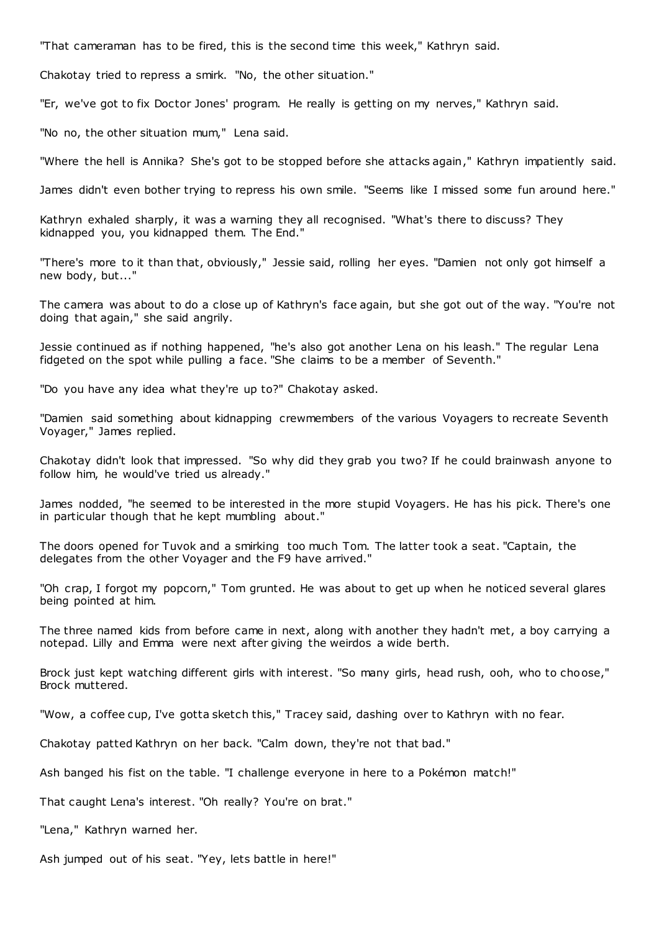"That cameraman has to be fired, this is the second time this week," Kathryn said.

Chakotay tried to repress a smirk. "No, the other situation."

"Er, we've got to fix Doctor Jones' program. He really is getting on my nerves," Kathryn said.

"No no, the other situation mum," Lena said.

"Where the hell is Annika? She's got to be stopped before she attacks again," Kathryn impatiently said.

James didn't even bother trying to repress his own smile. "Seems like I missed some fun around here."

Kathryn exhaled sharply, it was a warning they all recognised. "What's there to discuss? They kidnapped you, you kidnapped them. The End."

"There's more to it than that, obviously," Jessie said, rolling her eyes. "Damien not only got himself a new body, but..."

The camera was about to do a close up of Kathryn's face again, but she got out of the way. "You're not doing that again," she said angrily.

Jessie continued as if nothing happened, "he's also got another Lena on his leash." The regular Lena fidgeted on the spot while pulling a face. "She claims to be a member of Seventh."

"Do you have any idea what they're up to?" Chakotay asked.

"Damien said something about kidnapping crewmembers of the various Voyagers to recreate Seventh Voyager," James replied.

Chakotay didn't look that impressed. "So why did they grab you two? If he could brainwash anyone to follow him, he would've tried us already."

James nodded, "he seemed to be interested in the more stupid Voyagers. He has his pick. There's one in particular though that he kept mumbling about."

The doors opened for Tuvok and a smirking too much Tom. The latter took a seat. "Captain, the delegates from the other Voyager and the F9 have arrived."

"Oh crap, I forgot my popcorn," Tom grunted. He was about to get up when he noticed several glares being pointed at him.

The three named kids from before came in next, along with another they hadn't met, a boy carrying a notepad. Lilly and Emma were next after giving the weirdos a wide berth.

Brock just kept watching different girls with interest. "So many girls, head rush, ooh, who to choose," Brock muttered.

"Wow, a coffee cup, I've gotta sketch this," Tracey said, dashing over to Kathryn with no fear.

Chakotay patted Kathryn on her back. "Calm down, they're not that bad."

Ash banged his fist on the table. "I challenge everyone in here to a Pokémon match!"

That caught Lena's interest. "Oh really? You're on brat."

"Lena," Kathryn warned her.

Ash jumped out of his seat. "Yey, lets battle in here!"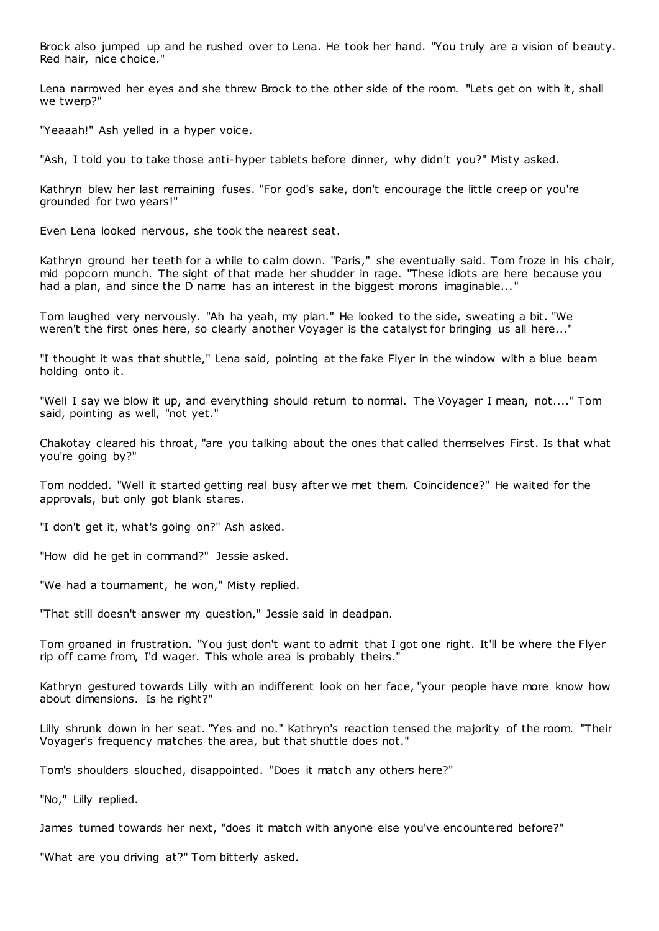Brock also jumped up and he rushed over to Lena. He took her hand. "You truly are a vision of beauty. Red hair, nice choice."

Lena narrowed her eyes and she threw Brock to the other side of the room. "Lets get on with it, shall we twerp?"

"Yeaaah!" Ash yelled in a hyper voice.

"Ash, I told you to take those anti-hyper tablets before dinner, why didn't you?" Misty asked.

Kathryn blew her last remaining fuses. "For god's sake, don't encourage the little creep or you're grounded for two years!"

Even Lena looked nervous, she took the nearest seat.

Kathryn ground her teeth for a while to calm down. "Paris," she eventually said. Tom froze in his chair, mid popcorn munch. The sight of that made her shudder in rage. "These idiots are here because you had a plan, and since the D name has an interest in the biggest morons imaginable..."

Tom laughed very nervously. "Ah ha yeah, my plan." He looked to the side, sweating a bit. "We weren't the first ones here, so clearly another Voyager is the catalyst for bringing us all here..."

"I thought it was that shuttle," Lena said, pointing at the fake Flyer in the window with a blue beam holding onto it.

"Well I say we blow it up, and everything should return to normal. The Voyager I mean, not...." Tom said, pointing as well, "not yet."

Chakotay cleared his throat, "are you talking about the ones that called themselves First. Is that what you're going by?"

Tom nodded. "Well it started getting real busy after we met them. Coincidence?" He waited for the approvals, but only got blank stares.

"I don't get it, what's going on?" Ash asked.

"How did he get in command?" Jessie asked.

"We had a tournament, he won," Misty replied.

"That still doesn't answer my question," Jessie said in deadpan.

Tom groaned in frustration. "You just don't want to admit that I got one right. It'll be where the Flyer rip off came from, I'd wager. This whole area is probably theirs."

Kathryn gestured towards Lilly with an indifferent look on her face, "your people have more know how about dimensions. Is he right?"

Lilly shrunk down in her seat. "Yes and no." Kathryn's reaction tensed the majority of the room. "Their Voyager's frequency matches the area, but that shuttle does not."

Tom's shoulders slouched, disappointed. "Does it match any others here?"

"No," Lilly replied.

James turned towards her next, "does it match with anyone else you've encountered before?"

"What are you driving at?" Tom bitterly asked.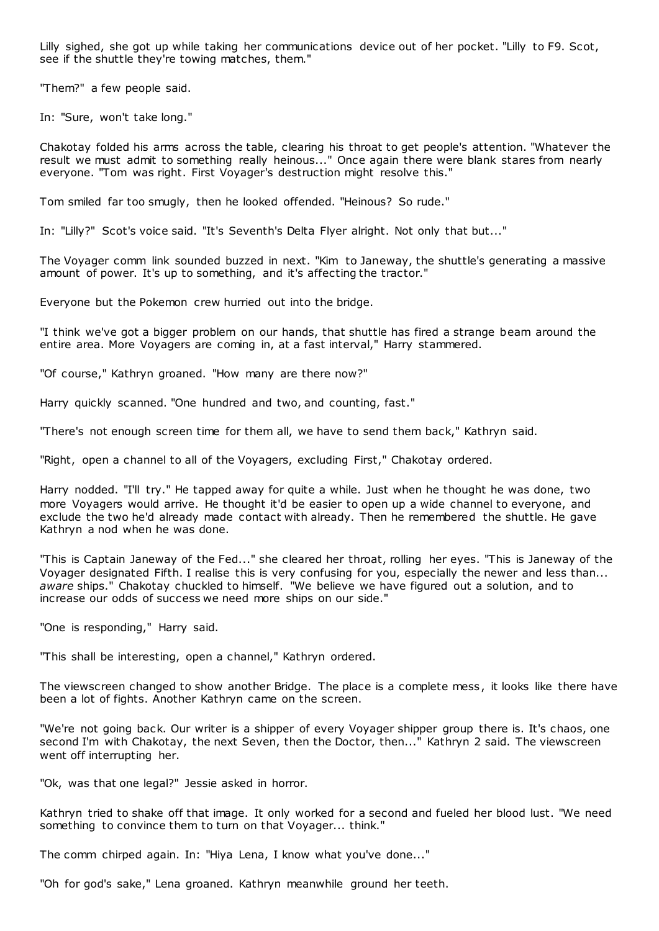Lilly sighed, she got up while taking her communications device out of her pocket. "Lilly to F9. Scot, see if the shuttle they're towing matches, them."

"Them?" a few people said.

In: "Sure, won't take long."

Chakotay folded his arms across the table, clearing his throat to get people's attention. "Whatever the result we must admit to something really heinous..." Once again there were blank stares from nearly everyone. "Tom was right. First Voyager's destruction might resolve this."

Tom smiled far too smugly, then he looked offended. "Heinous? So rude."

In: "Lilly?" Scot's voice said. "It's Seventh's Delta Flyer alright. Not only that but..."

The Voyager comm link sounded buzzed in next. "Kim to Janeway, the shuttle's generating a massive amount of power. It's up to something, and it's affecting the tractor."

Everyone but the Pokemon crew hurried out into the bridge.

"I think we've got a bigger problem on our hands, that shuttle has fired a strange beam around the entire area. More Voyagers are coming in, at a fast interval," Harry stammered.

"Of course," Kathryn groaned. "How many are there now?"

Harry quickly scanned. "One hundred and two, and counting, fast."

"There's not enough screen time for them all, we have to send them back," Kathryn said.

"Right, open a channel to all of the Voyagers, excluding First," Chakotay ordered.

Harry nodded. "I'll try." He tapped away for quite a while. Just when he thought he was done, two more Voyagers would arrive. He thought it'd be easier to open up a wide channel to everyone, and exclude the two he'd already made contact with already. Then he remembered the shuttle. He gave Kathryn a nod when he was done.

"This is Captain Janeway of the Fed..." she cleared her throat, rolling her eyes. "This is Janeway of the Voyager designated Fifth. I realise this is very confusing for you, especially the newer and less than... *aware* ships." Chakotay chuckled to himself. "We believe we have figured out a solution, and to increase our odds of success we need more ships on our side."

"One is responding," Harry said.

"This shall be interesting, open a channel," Kathryn ordered.

The viewscreen changed to show another Bridge. The place is a complete mess, it looks like there have been a lot of fights. Another Kathryn came on the screen.

"We're not going back. Our writer is a shipper of every Voyager shipper group there is. It's chaos, one second I'm with Chakotay, the next Seven, then the Doctor, then..." Kathryn 2 said. The viewscreen went off interrupting her.

"Ok, was that one legal?" Jessie asked in horror.

Kathryn tried to shake off that image. It only worked for a second and fueled her blood lust. "We need something to convince them to turn on that Voyager... think."

The comm chirped again. In: "Hiya Lena, I know what you've done..."

"Oh for god's sake," Lena groaned. Kathryn meanwhile ground her teeth.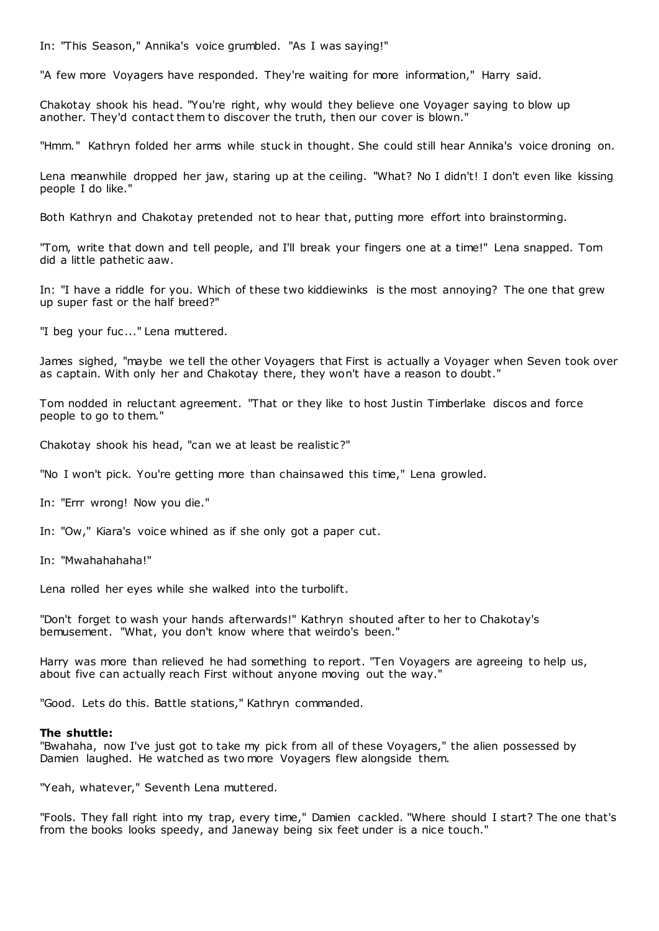In: "This Season," Annika's voice grumbled. "As I was saying!"

"A few more Voyagers have responded. They're waiting for more information," Harry said.

Chakotay shook his head. "You're right, why would they believe one Voyager saying to blow up another. They'd contact them to discover the truth, then our cover is blown."

"Hmm." Kathryn folded her arms while stuck in thought. She could still hear Annika's voice droning on.

Lena meanwhile dropped her jaw, staring up at the ceiling. "What? No I didn't! I don't even like kissing people I do like."

Both Kathryn and Chakotay pretended not to hear that, putting more effort into brainstorming.

"Tom, write that down and tell people, and I'll break your fingers one at a time!" Lena snapped. Tom did a little pathetic aaw.

In: "I have a riddle for you. Which of these two kiddiewinks is the most annoying? The one that grew up super fast or the half breed?"

"I beg your fuc ..." Lena muttered.

James sighed, "maybe we tell the other Voyagers that First is actually a Voyager when Seven took over as captain. With only her and Chakotay there, they won't have a reason to doubt."

Tom nodded in reluctant agreement. "That or they like to host Justin Timberlake discos and force people to go to them."

Chakotay shook his head, "can we at least be realistic?"

"No I won't pick. You're getting more than chainsawed this time," Lena growled.

In: "Errr wrong! Now you die."

In: "Ow," Kiara's voice whined as if she only got a paper cut.

In: "Mwahahahaha!"

Lena rolled her eyes while she walked into the turbolift.

"Don't forget to wash your hands afterwards!" Kathryn shouted after to her to Chakotay's bemusement. "What, you don't know where that weirdo's been."

Harry was more than relieved he had something to report. "Ten Voyagers are agreeing to help us, about five can actually reach First without anyone moving out the way."

"Good. Lets do this. Battle stations," Kathryn commanded.

#### **The shuttle:**

"Bwahaha, now I've just got to take my pick from all of these Voyagers," the alien possessed by Damien laughed. He watched as two more Voyagers flew alongside them.

"Yeah, whatever," Seventh Lena muttered.

"Fools. They fall right into my trap, every time," Damien cackled. "Where should I start? The one that's from the books looks speedy, and Janeway being six feet under is a nice touch."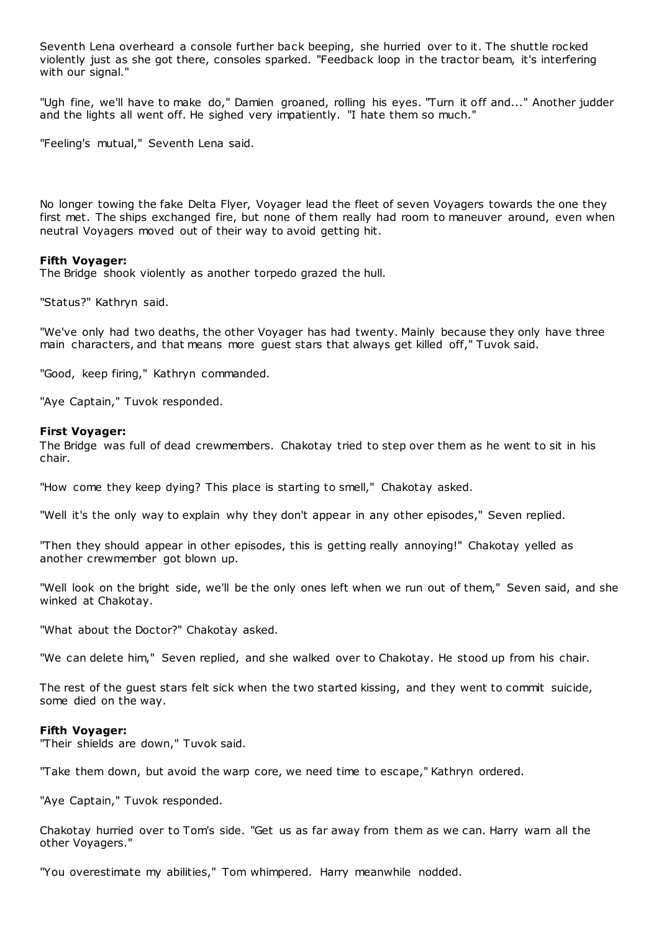Seventh Lena overheard a console further back beeping, she hurried over to it. The shuttle rocked violently just as she got there, consoles sparked. "Feedback loop in the tractor beam, it's interfering with our signal."

"Ugh fine, we'll have to make do," Damien groaned, rolling his eyes. "Turn it off and..." Another judder and the lights all went off. He sighed very impatiently. "I hate them so much."

"Feeling's mutual," Seventh Lena said.

No longer towing the fake Delta Flyer, Voyager lead the fleet of seven Voyagers towards the one they first met. The ships exchanged fire, but none of them really had room to maneuver around, even when neutral Voyagers moved out of their way to avoid getting hit.

### **Fifth Voyager:**

The Bridge shook violently as another torpedo grazed the hull.

"Status?" Kathryn said.

"We've only had two deaths, the other Voyager has had twenty. Mainly because they only have three main characters, and that means more guest stars that always get killed off," Tuvok said.

"Good, keep firing," Kathryn commanded.

"Aye Captain," Tuvok responded.

### **First Voyager:**

The Bridge was full of dead crewmembers. Chakotay tried to step over them as he went to sit in his chair.

"How come they keep dying? This place is starting to smell," Chakotay asked.

"Well it's the only way to explain why they don't appear in any other episodes," Seven replied.

"Then they should appear in other episodes, this is getting really annoying!" Chakotay yelled as another crewmember got blown up.

"Well look on the bright side, we'll be the only ones left when we run out of them," Seven said, and she winked at Chakotay.

"What about the Doctor?" Chakotay asked.

"We can delete him," Seven replied, and she walked over to Chakotay. He stood up from his chair.

The rest of the guest stars felt sick when the two started kissing, and they went to commit suicide, some died on the way.

#### **Fifth Voyager:**

"Their shields are down," Tuvok said.

"Take them down, but avoid the warp core, we need time to escape," Kathryn ordered.

"Aye Captain," Tuvok responded.

Chakotay hurried over to Tom's side. "Get us as far away from them as we can. Harry warn all the other Voyagers."

"You overestimate my abilities," Tom whimpered. Harry meanwhile nodded.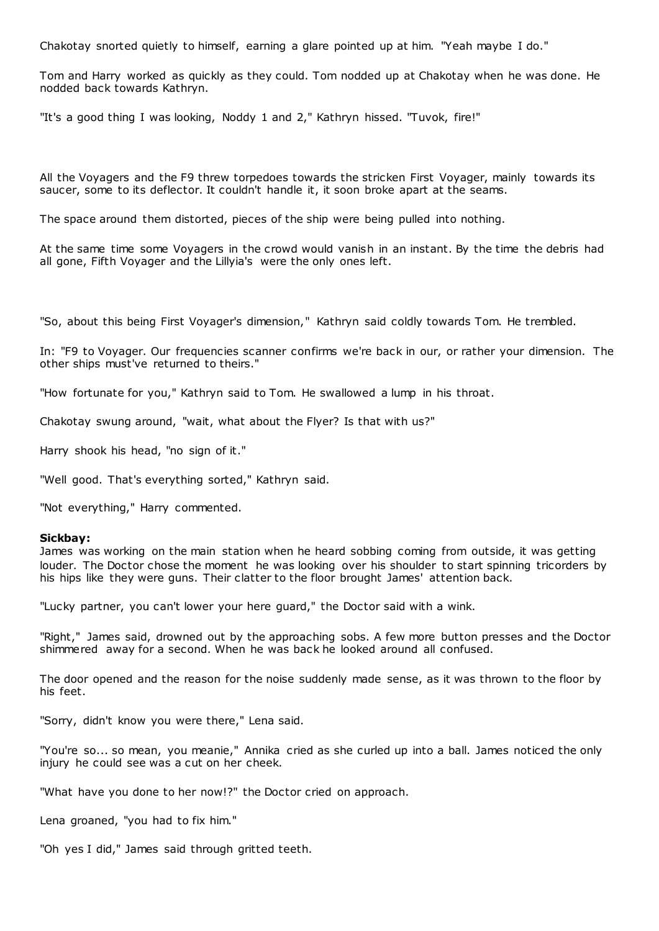Chakotay snorted quietly to himself, earning a glare pointed up at him. "Yeah maybe I do."

Tom and Harry worked as quickly as they could. Tom nodded up at Chakotay when he was done. He nodded back towards Kathryn.

"It's a good thing I was looking, Noddy 1 and 2," Kathryn hissed. "Tuvok, fire!"

All the Voyagers and the F9 threw torpedoes towards the stricken First Voyager, mainly towards its saucer, some to its deflector. It couldn't handle it, it soon broke apart at the seams.

The space around them distorted, pieces of the ship were being pulled into nothing.

At the same time some Voyagers in the crowd would vanish in an instant. By the time the debris had all gone, Fifth Voyager and the Lillyia's were the only ones left.

"So, about this being First Voyager's dimension," Kathryn said coldly towards Tom. He trembled.

In: "F9 to Voyager. Our frequencies scanner confirms we're back in our, or rather your dimension. The other ships must've returned to theirs."

"How fortunate for you," Kathryn said to Tom. He swallowed a lump in his throat.

Chakotay swung around, "wait, what about the Flyer? Is that with us?"

Harry shook his head, "no sign of it."

"Well good. That's everything sorted," Kathryn said.

"Not everything," Harry commented.

#### **Sickbay:**

James was working on the main station when he heard sobbing coming from outside, it was getting louder. The Doctor chose the moment he was looking over his shoulder to start spinning tricorders by his hips like they were guns. Their clatter to the floor brought James' attention back.

"Lucky partner, you can't lower your here guard," the Doctor said with a wink.

"Right," James said, drowned out by the approaching sobs. A few more button presses and the Doctor shimmered away for a second. When he was back he looked around all confused.

The door opened and the reason for the noise suddenly made sense, as it was thrown to the floor by his feet.

"Sorry, didn't know you were there," Lena said.

"You're so... so mean, you meanie," Annika cried as she curled up into a ball. James noticed the only injury he could see was a cut on her cheek.

"What have you done to her now!?" the Doctor cried on approach.

Lena groaned, "you had to fix him."

"Oh yes I did," James said through gritted teeth.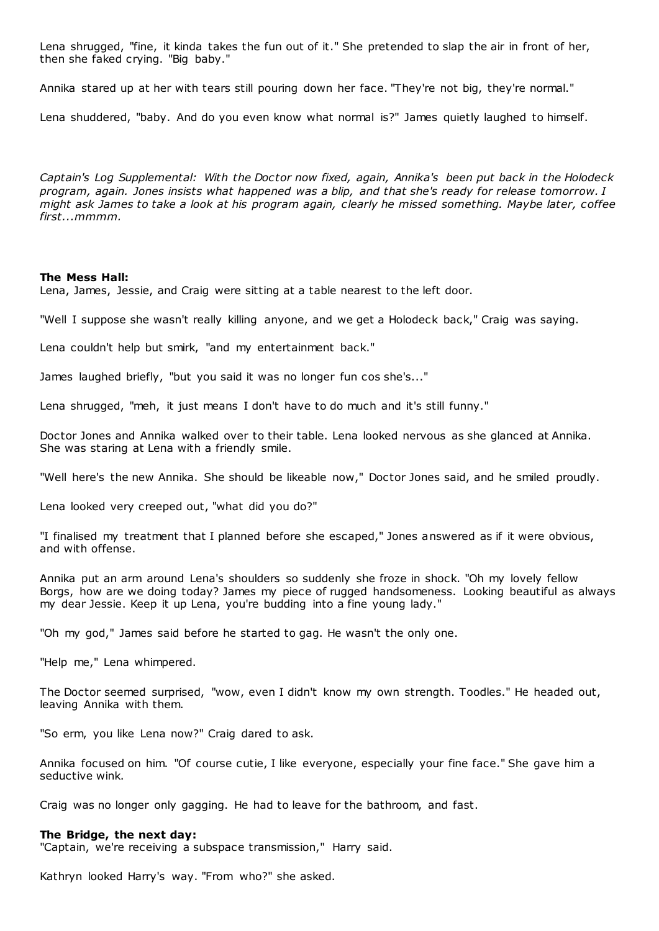Lena shrugged, "fine, it kinda takes the fun out of it." She pretended to slap the air in front of her, then she faked crying. "Big baby."

Annika stared up at her with tears still pouring down her face. "They're not big, they're normal."

Lena shuddered, "baby. And do you even know what normal is?" James quietly laughed to himself.

*Captain's Log Supplemental: With the Doctor now fixed, again, Annika's been put back in the Holodeck program, again. Jones insists what happened was a blip, and that she's ready for release tomorrow. I might ask James to take a look at his program again, clearly he missed something. Maybe later, coffee first...mmmm.*

### **The Mess Hall:**

Lena, James, Jessie, and Craig were sitting at a table nearest to the left door.

"Well I suppose she wasn't really killing anyone, and we get a Holodeck back," Craig was saying.

Lena couldn't help but smirk, "and my entertainment back."

James laughed briefly, "but you said it was no longer fun cos she's..."

Lena shrugged, "meh, it just means I don't have to do much and it's still funny."

Doctor Jones and Annika walked over to their table. Lena looked nervous as she glanced at Annika. She was staring at Lena with a friendly smile.

"Well here's the new Annika. She should be likeable now," Doctor Jones said, and he smiled proudly.

Lena looked very creeped out, "what did you do?"

"I finalised my treatment that I planned before she escaped," Jones answered as if it were obvious, and with offense.

Annika put an arm around Lena's shoulders so suddenly she froze in shock. "Oh my lovely fellow Borgs, how are we doing today? James my piece of rugged handsomeness. Looking beautiful as always my dear Jessie. Keep it up Lena, you're budding into a fine young lady."

"Oh my god," James said before he started to gag. He wasn't the only one.

"Help me," Lena whimpered.

The Doctor seemed surprised, "wow, even I didn't know my own strength. Toodles." He headed out, leaving Annika with them.

"So erm, you like Lena now?" Craig dared to ask.

Annika focused on him. "Of course cutie, I like everyone, especially your fine face." She gave him a seductive wink.

Craig was no longer only gagging. He had to leave for the bathroom, and fast.

#### **The Bridge, the next day:**

"Captain, we're receiving a subspace transmission," Harry said.

Kathryn looked Harry's way. "From who?" she asked.